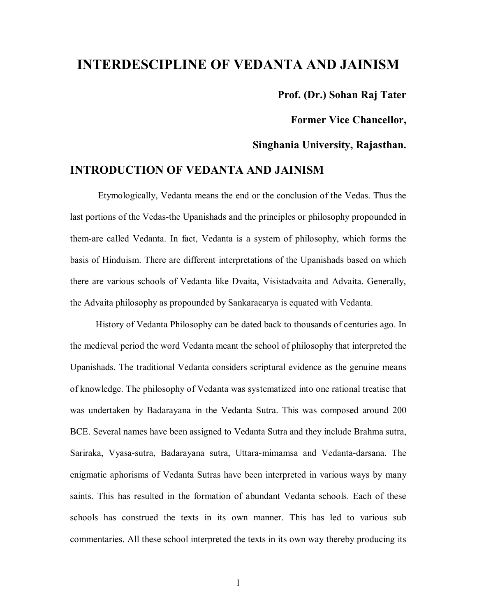# **INTERDESCIPLINE OF VEDANTA AND JAINISM**

**Prof. (Dr.) Sohan Raj Tater**

**Former Vice Chancellor,** 

**Singhania University, Rajasthan.**

# **INTRODUCTION OF VEDANTA AND JAINISM**

 Etymologically, Vedanta means the end or the conclusion of the Vedas. Thus the last portions of the Vedas-the Upanishads and the principles or philosophy propounded in them-are called Vedanta. In fact, Vedanta is a system of philosophy, which forms the basis of Hinduism. There are different interpretations of the Upanishads based on which there are various schools of Vedanta like Dvaita, Visistadvaita and Advaita. Generally, the Advaita philosophy as propounded by Sankaracarya is equated with Vedanta.

 History of Vedanta Philosophy can be dated back to thousands of centuries ago. In the medieval period the word Vedanta meant the school of philosophy that interpreted the Upanishads. The traditional Vedanta considers scriptural evidence as the genuine means of knowledge. The philosophy of Vedanta was systematized into one rational treatise that was undertaken by Badarayana in the Vedanta Sutra. This was composed around 200 BCE. Several names have been assigned to Vedanta Sutra and they include Brahma sutra, Sariraka, Vyasa-sutra, Badarayana sutra, Uttara-mimamsa and Vedanta-darsana. The enigmatic aphorisms of Vedanta Sutras have been interpreted in various ways by many saints. This has resulted in the formation of abundant Vedanta schools. Each of these schools has construed the texts in its own manner. This has led to various sub commentaries. All these school interpreted the texts in its own way thereby producing its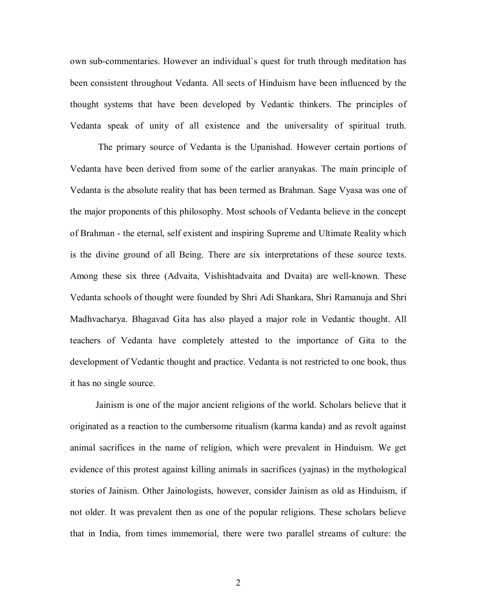own sub-commentaries. However an individual`s quest for truth through meditation has been consistent throughout Vedanta. All sects of Hinduism have been influenced by the thought systems that have been developed by Vedantic thinkers. The principles of Vedanta speak of unity of all existence and the universality of spiritual truth.

 The primary source of Vedanta is the Upanishad. However certain portions of Vedanta have been derived from some of the earlier aranyakas. The main principle of Vedanta is the absolute reality that has been termed as Brahman. Sage Vyasa was one of the major proponents of this philosophy. Most schools of Vedanta believe in the concept of Brahman - the eternal, self existent and inspiring Supreme and Ultimate Reality which is the divine ground of all Being. There are six interpretations of these source texts. Among these six three (Advaita, Vishishtadvaita and Dvaita) are well-known. These Vedanta schools of thought were founded by Shri Adi Shankara, Shri Ramanuja and Shri Madhvacharya. Bhagavad Gita has also played a major role in Vedantic thought. All teachers of Vedanta have completely attested to the importance of Gita to the development of Vedantic thought and practice. Vedanta is not restricted to one book, thus it has no single source.

 Jainism is one of the major ancient religions of the world. Scholars believe that it originated as a reaction to the cumbersome ritualism (karma kanda) and as revolt against animal sacrifices in the name of religion, which were prevalent in Hinduism. We get evidence of this protest against killing animals in sacrifices (yajnas) in the mythological stories of Jainism. Other Jainologists, however, consider Jainism as old as Hinduism, if not older. It was prevalent then as one of the popular religions. These scholars believe that in India, from times immemorial, there were two parallel streams of culture: the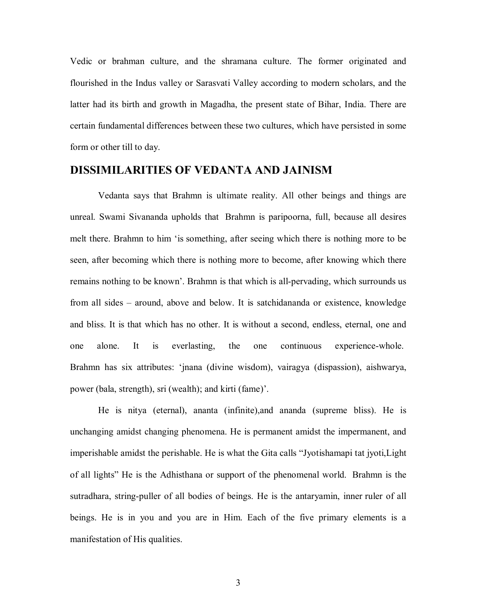Vedic or brahman culture, and the shramana culture. The former originated and flourished in the Indus valley or Sarasvati Valley according to modern scholars, and the latter had its birth and growth in Magadha, the present state of Bihar, India. There are certain fundamental differences between these two cultures, which have persisted in some form or other till to day.

## **DISSIMILARITIES OF VEDANTA AND JAINISM**

 Vedanta says that Brahmn is ultimate reality. All other beings and things are unreal. Swami Sivananda upholds that Brahmn is paripoorna, full, because all desires melt there. Brahmn to him 'is something, after seeing which there is nothing more to be seen, after becoming which there is nothing more to become, after knowing which there remains nothing to be known'. Brahmn is that which is all-pervading, which surrounds us from all sides – around, above and below. It is satchidananda or existence, knowledge and bliss. It is that which has no other. It is without a second, endless, eternal, one and one alone. It is everlasting, the one continuous experience-whole. Brahmn has six attributes: 'jnana (divine wisdom), vairagya (dispassion), aishwarya, power (bala, strength), sri (wealth); and kirti (fame)'.

He is nitya (eternal), ananta (infinite),and ananda (supreme bliss). He is unchanging amidst changing phenomena. He is permanent amidst the impermanent, and imperishable amidst the perishable. He is what the Gita calls "Jyotishamapi tat jyoti,Light of all lights" He is the Adhisthana or support of the phenomenal world. Brahmn is the sutradhara, string-puller of all bodies of beings. He is the antaryamin, inner ruler of all beings. He is in you and you are in Him. Each of the five primary elements is a manifestation of His qualities.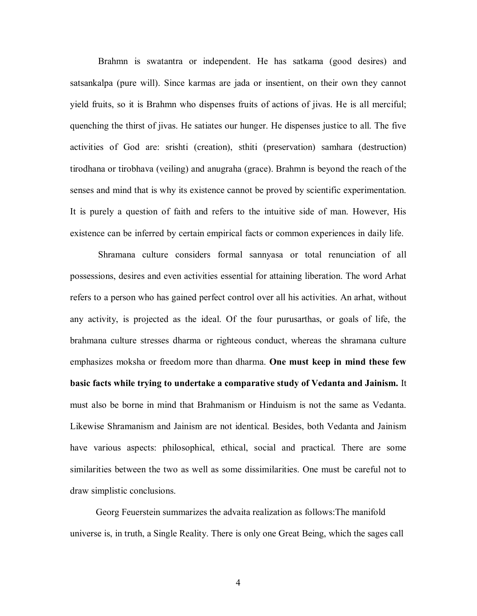Brahmn is swatantra or independent. He has satkama (good desires) and satsankalpa (pure will). Since karmas are jada or insentient, on their own they cannot yield fruits, so it is Brahmn who dispenses fruits of actions of jivas. He is all merciful; quenching the thirst of jivas. He satiates our hunger. He dispenses justice to all. The five activities of God are: srishti (creation), sthiti (preservation) samhara (destruction) tirodhana or tirobhava (veiling) and anugraha (grace). Brahmn is beyond the reach of the senses and mind that is why its existence cannot be proved by scientific experimentation. It is purely a question of faith and refers to the intuitive side of man. However, His existence can be inferred by certain empirical facts or common experiences in daily life.

 Shramana culture considers formal sannyasa or total renunciation of all possessions, desires and even activities essential for attaining liberation. The word Arhat refers to a person who has gained perfect control over all his activities. An arhat, without any activity, is projected as the ideal. Of the four purusarthas, or goals of life, the brahmana culture stresses dharma or righteous conduct, whereas the shramana culture emphasizes moksha or freedom more than dharma. **One must keep in mind these few basic facts while trying to undertake a comparative study of Vedanta and Jainism.** It must also be borne in mind that Brahmanism or Hinduism is not the same as Vedanta. Likewise Shramanism and Jainism are not identical. Besides, both Vedanta and Jainism have various aspects: philosophical, ethical, social and practical. There are some similarities between the two as well as some dissimilarities. One must be careful not to draw simplistic conclusions.

 Georg Feuerstein summarizes the advaita realization as follows:The manifold universe is, in truth, a Single Reality. There is only one Great Being, which the sages call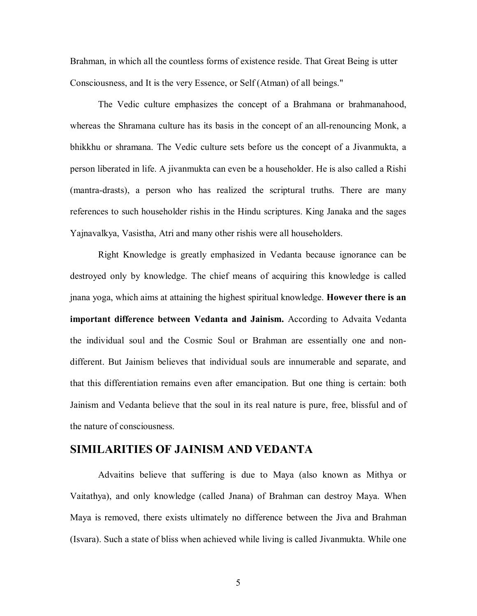Brahman, in which all the countless forms of existence reside. That Great Being is utter Consciousness, and It is the very Essence, or Self (Atman) of all beings."

 The Vedic culture emphasizes the concept of a Brahmana or brahmanahood, whereas the Shramana culture has its basis in the concept of an all-renouncing Monk, a bhikkhu or shramana. The Vedic culture sets before us the concept of a Jivanmukta, a person liberated in life. A jivanmukta can even be a householder. He is also called a Rishi (mantra-drasts), a person who has realized the scriptural truths. There are many references to such householder rishis in the Hindu scriptures. King Janaka and the sages Yajnavalkya, Vasistha, Atri and many other rishis were all householders.

 Right Knowledge is greatly emphasized in Vedanta because ignorance can be destroyed only by knowledge. The chief means of acquiring this knowledge is called jnana yoga, which aims at attaining the highest spiritual knowledge. **However there is an important difference between Vedanta and Jainism.** According to Advaita Vedanta the individual soul and the Cosmic Soul or Brahman are essentially one and nondifferent. But Jainism believes that individual souls are innumerable and separate, and that this differentiation remains even after emancipation. But one thing is certain: both Jainism and Vedanta believe that the soul in its real nature is pure, free, blissful and of the nature of consciousness.

## **SIMILARITIES OF JAINISM AND VEDANTA**

 Advaitins believe that suffering is due to Maya (also known as Mithya or Vaitathya), and only knowledge (called Jnana) of Brahman can destroy Maya. When Maya is removed, there exists ultimately no difference between the Jiva and Brahman (Isvara). Such a state of bliss when achieved while living is called Jivanmukta. While one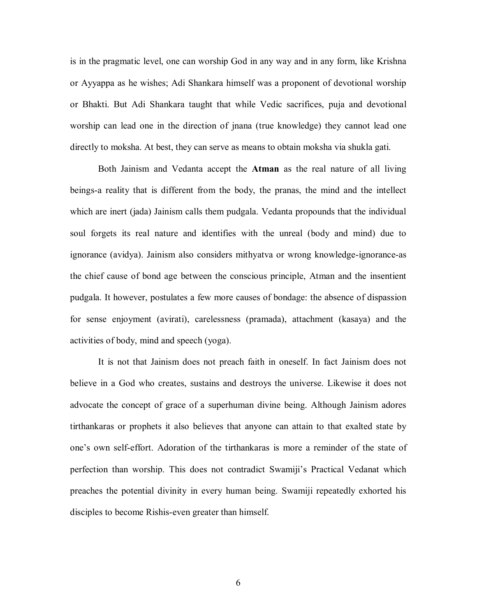is in the pragmatic level, one can worship God in any way and in any form, like Krishna or Ayyappa as he wishes; Adi Shankara himself was a proponent of devotional worship or Bhakti. But Adi Shankara taught that while Vedic sacrifices, puja and devotional worship can lead one in the direction of jnana (true knowledge) they cannot lead one directly to moksha. At best, they can serve as means to obtain moksha via shukla gati.

 Both Jainism and Vedanta accept the **Atman** as the real nature of all living beings-a reality that is different from the body, the pranas, the mind and the intellect which are inert (jada) Jainism calls them pudgala. Vedanta propounds that the individual soul forgets its real nature and identifies with the unreal (body and mind) due to ignorance (avidya). Jainism also considers mithyatva or wrong knowledge-ignorance-as the chief cause of bond age between the conscious principle, Atman and the insentient pudgala. It however, postulates a few more causes of bondage: the absence of dispassion for sense enjoyment (avirati), carelessness (pramada), attachment (kasaya) and the activities of body, mind and speech (yoga).

 It is not that Jainism does not preach faith in oneself. In fact Jainism does not believe in a God who creates, sustains and destroys the universe. Likewise it does not advocate the concept of grace of a superhuman divine being. Although Jainism adores tirthankaras or prophets it also believes that anyone can attain to that exalted state by one's own self-effort. Adoration of the tirthankaras is more a reminder of the state of perfection than worship. This does not contradict Swamiji's Practical Vedanat which preaches the potential divinity in every human being. Swamiji repeatedly exhorted his disciples to become Rishis-even greater than himself.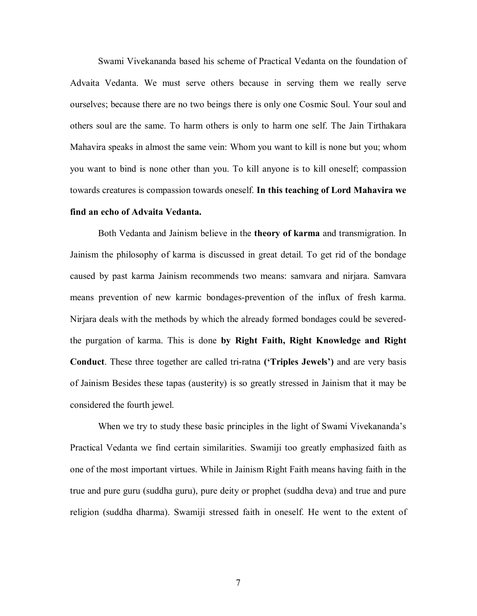Swami Vivekananda based his scheme of Practical Vedanta on the foundation of Advaita Vedanta. We must serve others because in serving them we really serve ourselves; because there are no two beings there is only one Cosmic Soul. Your soul and others soul are the same. To harm others is only to harm one self. The Jain Tirthakara Mahavira speaks in almost the same vein: Whom you want to kill is none but you; whom you want to bind is none other than you. To kill anyone is to kill oneself; compassion towards creatures is compassion towards oneself. **In this teaching of Lord Mahavira we find an echo of Advaita Vedanta.**

 Both Vedanta and Jainism believe in the **theory of karma** and transmigration. In Jainism the philosophy of karma is discussed in great detail. To get rid of the bondage caused by past karma Jainism recommends two means: samvara and nirjara. Samvara means prevention of new karmic bondages-prevention of the influx of fresh karma. Nirjara deals with the methods by which the already formed bondages could be severedthe purgation of karma. This is done **by Right Faith, Right Knowledge and Right Conduct**. These three together are called tri-ratna **('Triples Jewels')** and are very basis of Jainism Besides these tapas (austerity) is so greatly stressed in Jainism that it may be considered the fourth jewel.

 When we try to study these basic principles in the light of Swami Vivekananda's Practical Vedanta we find certain similarities. Swamiji too greatly emphasized faith as one of the most important virtues. While in Jainism Right Faith means having faith in the true and pure guru (suddha guru), pure deity or prophet (suddha deva) and true and pure religion (suddha dharma). Swamiji stressed faith in oneself. He went to the extent of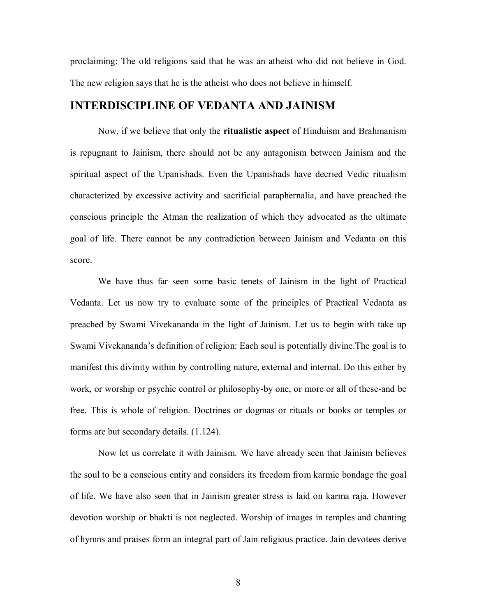proclaiming: The old religions said that he was an atheist who did not believe in God. The new religion says that he is the atheist who does not believe in himself.

## **INTERDISCIPLINE OF VEDANTA AND JAINISM**

 Now, if we believe that only the **ritualistic aspect** of Hinduism and Brahmanism is repugnant to Jainism, there should not be any antagonism between Jainism and the spiritual aspect of the Upanishads. Even the Upanishads have decried Vedic ritualism characterized by excessive activity and sacrificial paraphernalia, and have preached the conscious principle the Atman the realization of which they advocated as the ultimate goal of life. There cannot be any contradiction between Jainism and Vedanta on this score.

 We have thus far seen some basic tenets of Jainism in the light of Practical Vedanta. Let us now try to evaluate some of the principles of Practical Vedanta as preached by Swami Vivekananda in the light of Jainism. Let us to begin with take up Swami Vivekananda's definition of religion: Each soul is potentially divine.The goal is to manifest this divinity within by controlling nature, external and internal. Do this either by work, or worship or psychic control or philosophy-by one, or more or all of these-and be free. This is whole of religion. Doctrines or dogmas or rituals or books or temples or forms are but secondary details. (1.124).

 Now let us correlate it with Jainism. We have already seen that Jainism believes the soul to be a conscious entity and considers its freedom from karmic bondage the goal of life. We have also seen that in Jainism greater stress is laid on karma raja. However devotion worship or bhakti is not neglected. Worship of images in temples and chanting of hymns and praises form an integral part of Jain religious practice. Jain devotees derive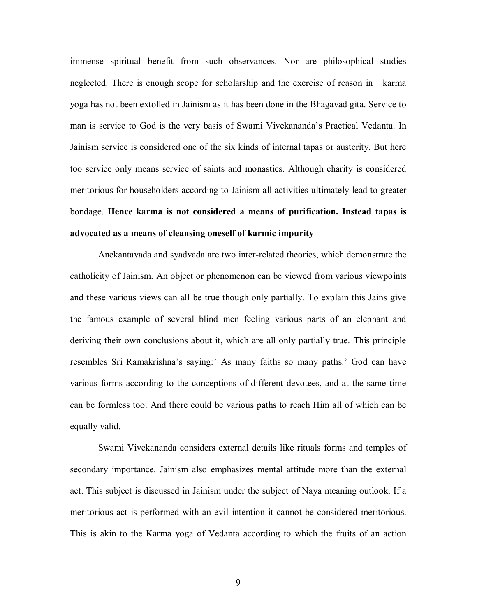immense spiritual benefit from such observances. Nor are philosophical studies neglected. There is enough scope for scholarship and the exercise of reason in karma yoga has not been extolled in Jainism as it has been done in the Bhagavad gita. Service to man is service to God is the very basis of Swami Vivekananda's Practical Vedanta. In Jainism service is considered one of the six kinds of internal tapas or austerity. But here too service only means service of saints and monastics. Although charity is considered meritorious for householders according to Jainism all activities ultimately lead to greater bondage. **Hence karma is not considered a means of purification. Instead tapas is advocated as a means of cleansing oneself of karmic impurity**

 Anekantavada and syadvada are two inter-related theories, which demonstrate the catholicity of Jainism. An object or phenomenon can be viewed from various viewpoints and these various views can all be true though only partially. To explain this Jains give the famous example of several blind men feeling various parts of an elephant and deriving their own conclusions about it, which are all only partially true. This principle resembles Sri Ramakrishna's saying:' As many faiths so many paths.' God can have various forms according to the conceptions of different devotees, and at the same time can be formless too. And there could be various paths to reach Him all of which can be equally valid.

 Swami Vivekananda considers external details like rituals forms and temples of secondary importance. Jainism also emphasizes mental attitude more than the external act. This subject is discussed in Jainism under the subject of Naya meaning outlook. If a meritorious act is performed with an evil intention it cannot be considered meritorious. This is akin to the Karma yoga of Vedanta according to which the fruits of an action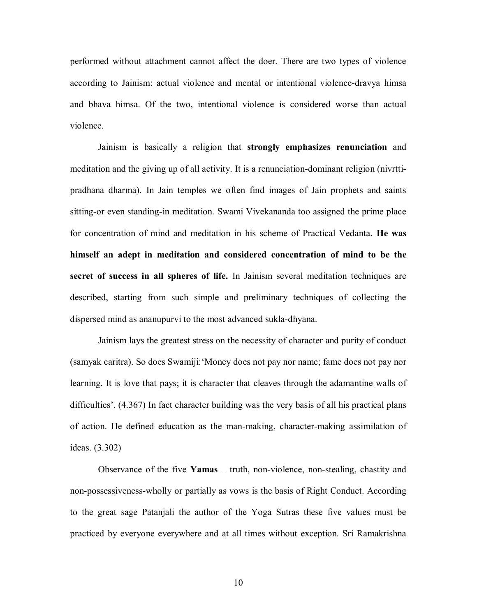performed without attachment cannot affect the doer. There are two types of violence according to Jainism: actual violence and mental or intentional violence-dravya himsa and bhava himsa. Of the two, intentional violence is considered worse than actual violence.

 Jainism is basically a religion that **strongly emphasizes renunciation** and meditation and the giving up of all activity. It is a renunciation-dominant religion (nivrttipradhana dharma). In Jain temples we often find images of Jain prophets and saints sitting-or even standing-in meditation. Swami Vivekananda too assigned the prime place for concentration of mind and meditation in his scheme of Practical Vedanta. **He was himself an adept in meditation and considered concentration of mind to be the secret of success in all spheres of life.** In Jainism several meditation techniques are described, starting from such simple and preliminary techniques of collecting the dispersed mind as ananupurvi to the most advanced sukla-dhyana.

 Jainism lays the greatest stress on the necessity of character and purity of conduct (samyak caritra). So does Swamiji:'Money does not pay nor name; fame does not pay nor learning. It is love that pays; it is character that cleaves through the adamantine walls of difficulties'. (4.367) In fact character building was the very basis of all his practical plans of action. He defined education as the man-making, character-making assimilation of ideas. (3.302)

 Observance of the five **Yamas** – truth, non-violence, non-stealing, chastity and non-possessiveness-wholly or partially as vows is the basis of Right Conduct. According to the great sage Patanjali the author of the Yoga Sutras these five values must be practiced by everyone everywhere and at all times without exception. Sri Ramakrishna

10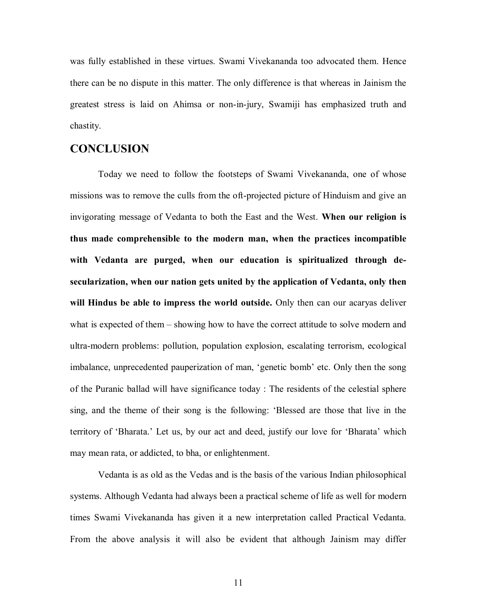was fully established in these virtues. Swami Vivekananda too advocated them. Hence there can be no dispute in this matter. The only difference is that whereas in Jainism the greatest stress is laid on Ahimsa or non-in-jury, Swamiji has emphasized truth and chastity.

### **CONCLUSION**

 Today we need to follow the footsteps of Swami Vivekananda, one of whose missions was to remove the culls from the oft-projected picture of Hinduism and give an invigorating message of Vedanta to both the East and the West. **When our religion is thus made comprehensible to the modern man, when the practices incompatible with Vedanta are purged, when our education is spiritualized through desecularization, when our nation gets united by the application of Vedanta, only then will Hindus be able to impress the world outside.** Only then can our acaryas deliver what is expected of them – showing how to have the correct attitude to solve modern and ultra-modern problems: pollution, population explosion, escalating terrorism, ecological imbalance, unprecedented pauperization of man, 'genetic bomb' etc. Only then the song of the Puranic ballad will have significance today : The residents of the celestial sphere sing, and the theme of their song is the following: 'Blessed are those that live in the territory of 'Bharata.' Let us, by our act and deed, justify our love for 'Bharata' which may mean rata, or addicted, to bha, or enlightenment.

 Vedanta is as old as the Vedas and is the basis of the various Indian philosophical systems. Although Vedanta had always been a practical scheme of life as well for modern times Swami Vivekananda has given it a new interpretation called Practical Vedanta. From the above analysis it will also be evident that although Jainism may differ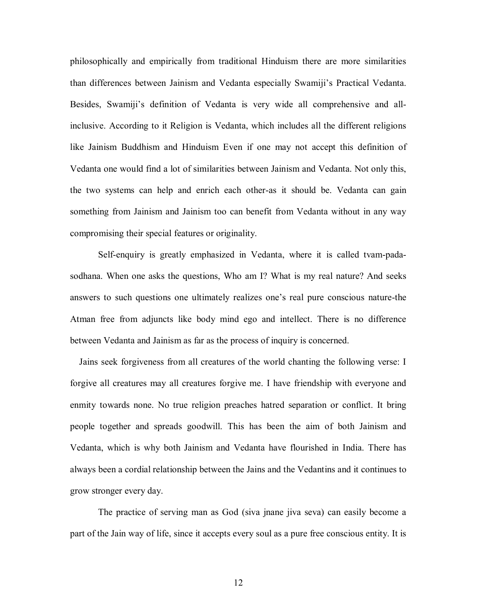philosophically and empirically from traditional Hinduism there are more similarities than differences between Jainism and Vedanta especially Swamiji's Practical Vedanta. Besides, Swamiji's definition of Vedanta is very wide all comprehensive and allinclusive. According to it Religion is Vedanta, which includes all the different religions like Jainism Buddhism and Hinduism Even if one may not accept this definition of Vedanta one would find a lot of similarities between Jainism and Vedanta. Not only this, the two systems can help and enrich each other-as it should be. Vedanta can gain something from Jainism and Jainism too can benefit from Vedanta without in any way compromising their special features or originality.

 Self-enquiry is greatly emphasized in Vedanta, where it is called tvam-padasodhana. When one asks the questions, Who am I? What is my real nature? And seeks answers to such questions one ultimately realizes one's real pure conscious nature-the Atman free from adjuncts like body mind ego and intellect. There is no difference between Vedanta and Jainism as far as the process of inquiry is concerned.

 Jains seek forgiveness from all creatures of the world chanting the following verse: I forgive all creatures may all creatures forgive me. I have friendship with everyone and enmity towards none. No true religion preaches hatred separation or conflict. It bring people together and spreads goodwill. This has been the aim of both Jainism and Vedanta, which is why both Jainism and Vedanta have flourished in India. There has always been a cordial relationship between the Jains and the Vedantins and it continues to grow stronger every day.

 The practice of serving man as God (siva jnane jiva seva) can easily become a part of the Jain way of life, since it accepts every soul as a pure free conscious entity. It is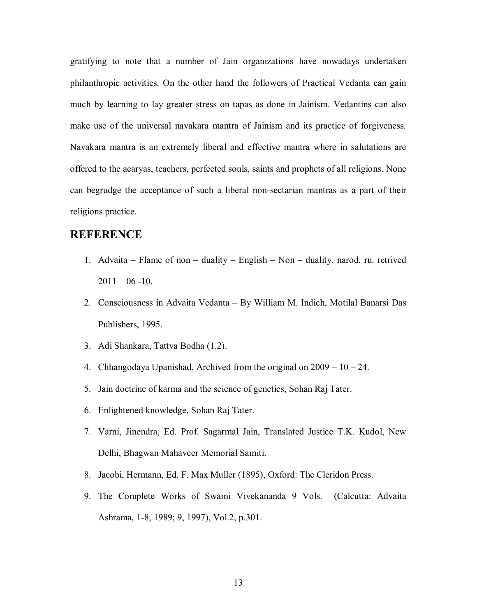gratifying to note that a number of Jain organizations have nowadays undertaken philanthropic activities. On the other hand the followers of Practical Vedanta can gain much by learning to lay greater stress on tapas as done in Jainism. Vedantins can also make use of the universal navakara mantra of Jainism and its practice of forgiveness. Navakara mantra is an extremely liberal and effective mantra where in salutations are offered to the acaryas, teachers, perfected souls, saints and prophets of all religions. None can begrudge the acceptance of such a liberal non-sectarian mantras as a part of their religions practice.

# **REFERENCE**

- 1. Advaita Flame of non duality English Non duality. narod. ru. retrived  $2011 - 06 - 10$ .
- 2. Consciousness in Advaita Vedanta By William M. Indich, Motilal Banarsi Das Publishers, 1995.
- 3. Adi Shankara, Tattva Bodha (1.2).
- 4. Chhangodaya Upanishad, Archived from the original on  $2009 10 24$ .
- 5. Jain doctrine of karma and the science of genetics, Sohan Raj Tater.
- 6. Enlightened knowledge, Sohan Raj Tater.
- 7. Varni, Jinendra, Ed. Prof. Sagarmal Jain, Translated Justice T.K. Kudol, New Delhi, Bhagwan Mahaveer Memorial Samiti.
- 8. Jacobi, Hermann, Ed. F. Max Muller (1895), Oxford: The Cleridon Press.
- 9. The Complete Works of Swami Vivekananda 9 Vols. (Calcutta: Advaita Ashrama, 1-8, 1989; 9, 1997), Vol.2, p.301.